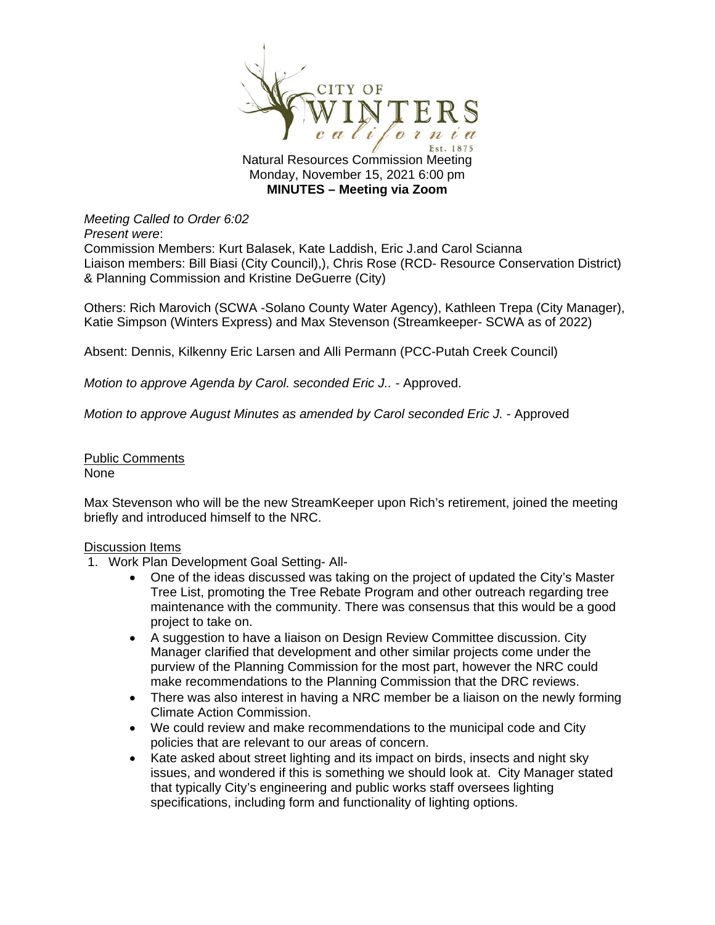

**MINUTES – Meeting via Zoom**

*Meeting Called to Order 6:02* 

*Present were*:

Commission Members: Kurt Balasek, Kate Laddish, Eric J.and Carol Scianna Liaison members: Bill Biasi (City Council),), Chris Rose (RCD- Resource Conservation District) & Planning Commission and Kristine DeGuerre (City)

Others: Rich Marovich (SCWA -Solano County Water Agency), Kathleen Trepa (City Manager), Katie Simpson (Winters Express) and Max Stevenson (Streamkeeper- SCWA as of 2022)

Absent: Dennis, Kilkenny Eric Larsen and Alli Permann (PCC-Putah Creek Council)

*Motion to approve Agenda by Carol. seconded Eric J.. - Approved.* 

*Motion to approve August Minutes as amended by Carol seconded Eric J. - Approved* 

## Public Comments None

Max Stevenson who will be the new StreamKeeper upon Rich's retirement, joined the meeting briefly and introduced himself to the NRC.

## Discussion Items

- 1. Work Plan Development Goal Setting- All-
	- One of the ideas discussed was taking on the project of updated the City's Master Tree List, promoting the Tree Rebate Program and other outreach regarding tree maintenance with the community. There was consensus that this would be a good project to take on.
	- A suggestion to have a liaison on Design Review Committee discussion. City Manager clarified that development and other similar projects come under the purview of the Planning Commission for the most part, however the NRC could make recommendations to the Planning Commission that the DRC reviews.
	- There was also interest in having a NRC member be a liaison on the newly forming Climate Action Commission.
	- We could review and make recommendations to the municipal code and City policies that are relevant to our areas of concern.
	- Kate asked about street lighting and its impact on birds, insects and night sky issues, and wondered if this is something we should look at. City Manager stated that typically City's engineering and public works staff oversees lighting specifications, including form and functionality of lighting options.